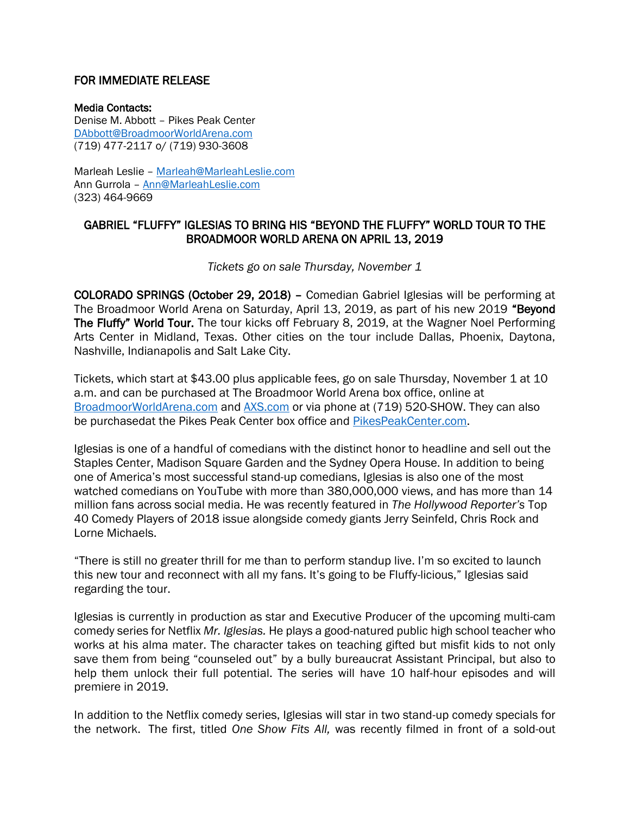## FOR IMMEDIATE RELEASE

Media Contacts: Denise M. Abbott – Pikes Peak Center [DAbbott@BroadmoorWorldArena.com](mailto:DAbbott@BroadmoorWorldArena.com) (719) 477-2117 o/ (719) 930-3608

Marleah Leslie – [Marleah@MarleahLeslie.com](mailto:Marleah@MarleahLeslie.com) Ann Gurrola – [Ann@MarleahLeslie.com](mailto:Ann@MarleahLeslie.com) (323) 464-9669

## GABRIEL "FLUFFY" IGLESIAS TO BRING HIS "BEYOND THE FLUFFY" WORLD TOUR TO THE BROADMOOR WORLD ARENA ON APRIL 13, 2019

*Tickets go on sale Thursday, November 1*

COLORADO SPRINGS (October 29, 2018) – Comedian Gabriel Iglesias will be performing at The Broadmoor World Arena on Saturday, April 13, 2019, as part of his new 2019 "Beyond The Fluffy" World Tour. The tour kicks off February 8, 2019, at the Wagner Noel Performing Arts Center in Midland, Texas. Other cities on the tour include Dallas, Phoenix, Daytona, Nashville, Indianapolis and Salt Lake City.

Tickets, which start at \$43.00 plus applicable fees, go on sale Thursday, November 1 at 10 a.m. and can be purchased at The Broadmoor World Arena box office, online at [BroadmoorWorldArena.com](http://www.broadmoorworldarena.com/) and [AXS.com](http://www.axs.com/) or via phone at (719) 520-SHOW. They can also be purchasedat the Pikes Peak Center box office and [PikesPeakCenter.com.](http://www.pikespeakcenter.com/)

Iglesias is one of a handful of comedians with the distinct honor to headline and sell out the Staples Center, Madison Square Garden and the Sydney Opera House. In addition to being one of America's most successful stand-up comedians, Iglesias is also one of the most watched comedians on YouTube with more than 380,000,000 views, and has more than 14 million fans across social media. He was recently featured in *The Hollywood Reporter's* Top 40 Comedy Players of 2018 issue alongside comedy giants Jerry Seinfeld, Chris Rock and Lorne Michaels.

"There is still no greater thrill for me than to perform standup live. I'm so excited to launch this new tour and reconnect with all my fans. It's going to be Fluffy-licious," Iglesias said regarding the tour.

Iglesias is currently in production as star and Executive Producer of the upcoming multi-cam comedy series for Netflix *Mr. Iglesias.* He plays a good-natured public high school teacher who works at his alma mater. The character takes on teaching gifted but misfit kids to not only save them from being "counseled out" by a bully bureaucrat Assistant Principal, but also to help them unlock their full potential. The series will have 10 half-hour episodes and will premiere in 2019.

In addition to the Netflix comedy series, Iglesias will star in two stand-up comedy specials for the network. The first, titled *One Show Fits All,* was recently filmed in front of a sold-out